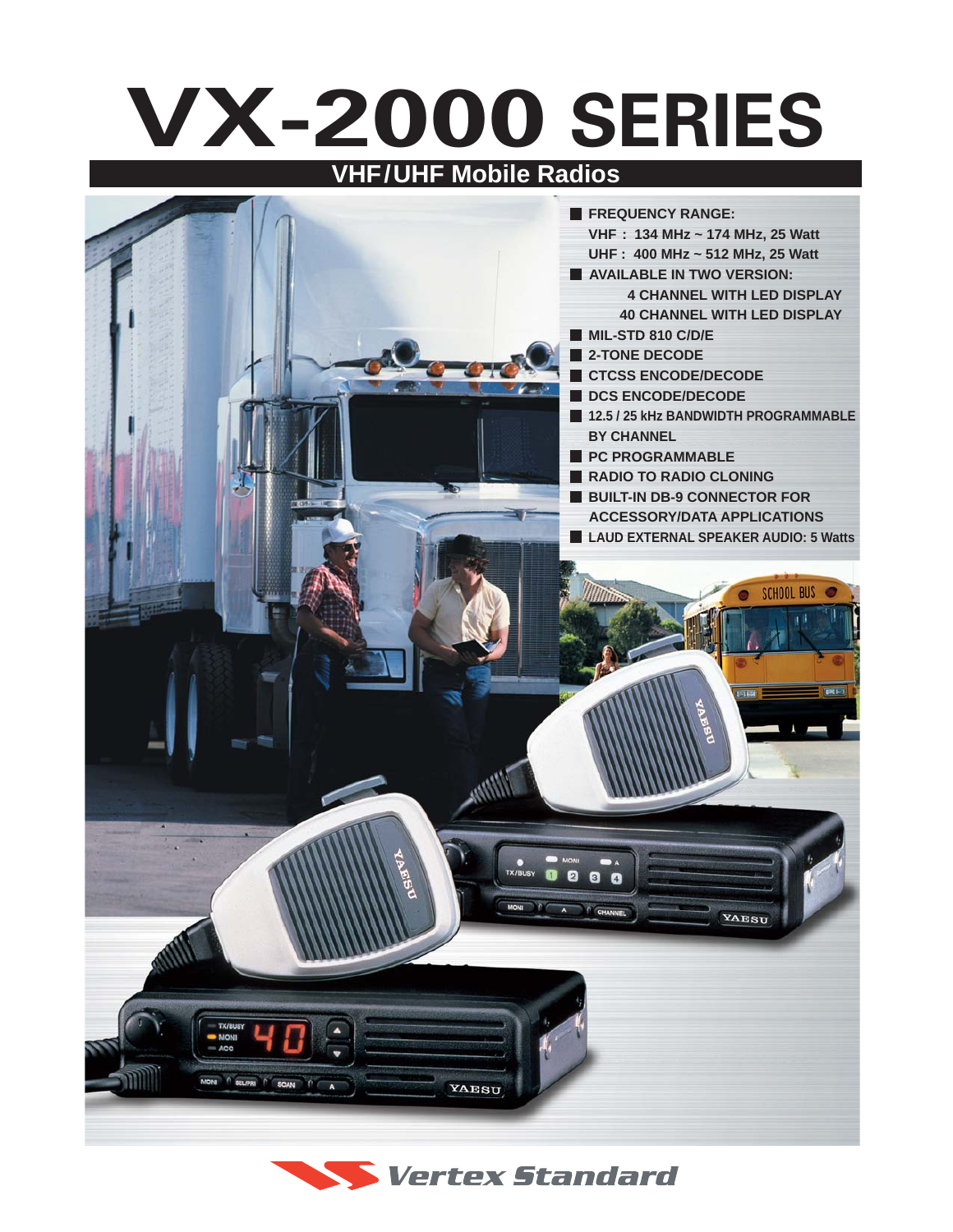## **VX-2000 SERIES VHF/UHF Mobile Radios**